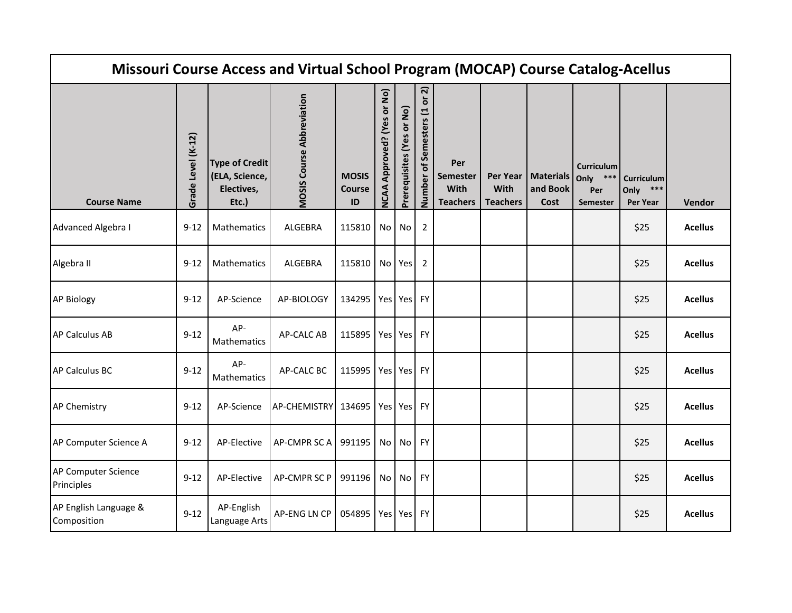| Missouri Course Access and Virtual School Program (MOCAP) Course Catalog-Acellus |                    |                                                                |                                  |                                     |                                |                           |                                                             |                                            |                         |                                          |                                                       |                                       |                |
|----------------------------------------------------------------------------------|--------------------|----------------------------------------------------------------|----------------------------------|-------------------------------------|--------------------------------|---------------------------|-------------------------------------------------------------|--------------------------------------------|-------------------------|------------------------------------------|-------------------------------------------------------|---------------------------------------|----------------|
| <b>Course Name</b>                                                               | Grade Level (K-12) | <b>Type of Credit</b><br>(ELA, Science,<br>Electives,<br>Etc.) | <b>MOSIS Course Abbreviation</b> | <b>MOSIS</b><br><b>Course</b><br>ID | Approved? (Yes or No)<br>NCAA. | Prerequisites (Yes or No) | ล<br>$\overleftarrow{\mathbf{o}}$<br>Number of Semesters (1 | Per<br>Semester<br>With<br><b>Teachers</b> | With<br><b>Teachers</b> | Per Year   Materials<br>and Book<br>Cost | <b>Curriculum</b><br>$***$<br>Only<br>Per<br>Semester | Curriculum<br>Only<br>***<br>Per Year | Vendor         |
| Advanced Algebra I                                                               | $9 - 12$           | Mathematics                                                    | <b>ALGEBRA</b>                   | 115810                              | No                             | No                        | 2                                                           |                                            |                         |                                          |                                                       | \$25                                  | <b>Acellus</b> |
| Algebra II                                                                       | $9 - 12$           | Mathematics                                                    | <b>ALGEBRA</b>                   | 115810                              |                                | No Yes                    | 2                                                           |                                            |                         |                                          |                                                       | \$25                                  | <b>Acellus</b> |
| <b>AP Biology</b>                                                                | $9 - 12$           | AP-Science                                                     | AP-BIOLOGY                       | 134295                              |                                | Yes Yes                   | <b>FY</b>                                                   |                                            |                         |                                          |                                                       | \$25                                  | <b>Acellus</b> |
| <b>AP Calculus AB</b>                                                            | $9 - 12$           | AP-<br>Mathematics                                             | <b>AP-CALC AB</b>                | 115895                              |                                | Yes Yes                   | FY                                                          |                                            |                         |                                          |                                                       | \$25                                  | <b>Acellus</b> |
| AP Calculus BC                                                                   | $9 - 12$           | AP-<br>Mathematics                                             | AP-CALC BC                       | 115995                              |                                | Yes Yes                   | <b>FY</b>                                                   |                                            |                         |                                          |                                                       | \$25                                  | <b>Acellus</b> |
| AP Chemistry                                                                     | $9 - 12$           | AP-Science                                                     | AP-CHEMISTRY 134695              |                                     |                                | Yes Yes FY                |                                                             |                                            |                         |                                          |                                                       | \$25                                  | <b>Acellus</b> |
| AP Computer Science A                                                            | $9 - 12$           | AP-Elective                                                    | AP-CMPR SC A                     | 991195                              | No <sub>1</sub>                | No                        | <b>FY</b>                                                   |                                            |                         |                                          |                                                       | \$25                                  | <b>Acellus</b> |
| AP Computer Science<br>Principles                                                | $9 - 12$           | AP-Elective                                                    | AP-CMPR SC P                     | 991196                              | No l                           | No                        | <b>FY</b>                                                   |                                            |                         |                                          |                                                       | \$25                                  | <b>Acellus</b> |
| AP English Language &<br>Composition                                             | $9 - 12$           | AP-English<br>Language Arts                                    | <b>AP-ENG LN CP</b>              | 054895                              |                                | Yes Yes FY                |                                                             |                                            |                         |                                          |                                                       | \$25                                  | <b>Acellus</b> |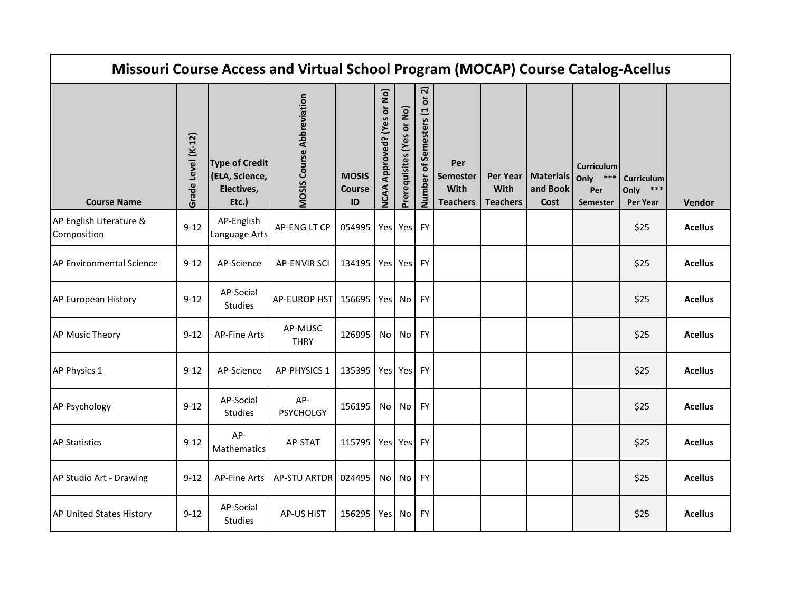| Missouri Course Access and Virtual School Program (MOCAP) Course Catalog-Acellus |                    |                                                                |                                  |                              |                                      |                           |                                                |                                                   |                                     |                                      |                                                     |                                              |                |
|----------------------------------------------------------------------------------|--------------------|----------------------------------------------------------------|----------------------------------|------------------------------|--------------------------------------|---------------------------|------------------------------------------------|---------------------------------------------------|-------------------------------------|--------------------------------------|-----------------------------------------------------|----------------------------------------------|----------------|
| <b>Course Name</b>                                                               | Grade Level (K-12) | <b>Type of Credit</b><br>(ELA, Science,<br>Electives,<br>Etc.) | <b>MOSIS Course Abbreviation</b> | <b>MOSIS</b><br>Course<br>ID | Approved? (Yes or No)<br><b>NCAA</b> | Prerequisites (Yes or No) | ล<br>$\bf \breve{o}$<br>Number of Semesters (1 | Per<br>Semester<br><b>With</b><br><b>Teachers</b> | Per Year<br>With<br><b>Teachers</b> | <b>Materials</b><br>and Book<br>Cost | <b>Curriculum</b><br>***<br>Only<br>Per<br>Semester | Curriculum<br>Only<br>***<br><b>Per Year</b> | Vendor         |
| AP English Literature &<br>Composition                                           | $9 - 12$           | AP-English<br>Language Arts                                    | AP-ENG LT CP                     | 054995                       |                                      | Yes Yes                   | <b>FY</b>                                      |                                                   |                                     |                                      |                                                     | \$25                                         | <b>Acellus</b> |
| <b>AP Environmental Science</b>                                                  | $9 - 12$           | AP-Science                                                     | <b>AP-ENVIR SCI</b>              | 134195                       |                                      | Yes Yes                   | <b>FY</b>                                      |                                                   |                                     |                                      |                                                     | \$25                                         | <b>Acellus</b> |
| AP European History                                                              | $9 - 12$           | AP-Social<br>Studies                                           | AP-EUROP HST 156695              |                              | Yes                                  | No                        | <b>FY</b>                                      |                                                   |                                     |                                      |                                                     | \$25                                         | <b>Acellus</b> |
| <b>AP Music Theory</b>                                                           | $9 - 12$           | <b>AP-Fine Arts</b>                                            | AP-MUSC<br><b>THRY</b>           | 126995                       | No <sub>1</sub>                      | No                        | <b>FY</b>                                      |                                                   |                                     |                                      |                                                     | \$25                                         | <b>Acellus</b> |
| AP Physics 1                                                                     | $9 - 12$           | AP-Science                                                     | <b>AP-PHYSICS 1</b>              | 135395                       |                                      | Yes Yes                   | <b>FY</b>                                      |                                                   |                                     |                                      |                                                     | \$25                                         | <b>Acellus</b> |
| <b>AP Psychology</b>                                                             | $9 - 12$           | AP-Social<br>Studies                                           | AP-<br><b>PSYCHOLGY</b>          | 156195                       | No <sub>1</sub>                      | No                        | <b>FY</b>                                      |                                                   |                                     |                                      |                                                     | \$25                                         | <b>Acellus</b> |
| <b>AP Statistics</b>                                                             | $9 - 12$           | AP-<br>Mathematics                                             | AP-STAT                          | 115795                       |                                      | Yes Yes                   | <b>FY</b>                                      |                                                   |                                     |                                      |                                                     | \$25                                         | <b>Acellus</b> |
| AP Studio Art - Drawing                                                          | $9 - 12$           | <b>AP-Fine Arts</b>                                            | <b>AP-STU ARTDR</b>              | 024495                       | No <sub>1</sub>                      | No                        | <b>FY</b>                                      |                                                   |                                     |                                      |                                                     | \$25                                         | <b>Acellus</b> |
| <b>AP United States History</b>                                                  | $9 - 12$           | AP-Social<br><b>Studies</b>                                    | <b>AP-US HIST</b>                | 156295                       | Yes                                  | No                        | <b>FY</b>                                      |                                                   |                                     |                                      |                                                     | \$25                                         | <b>Acellus</b> |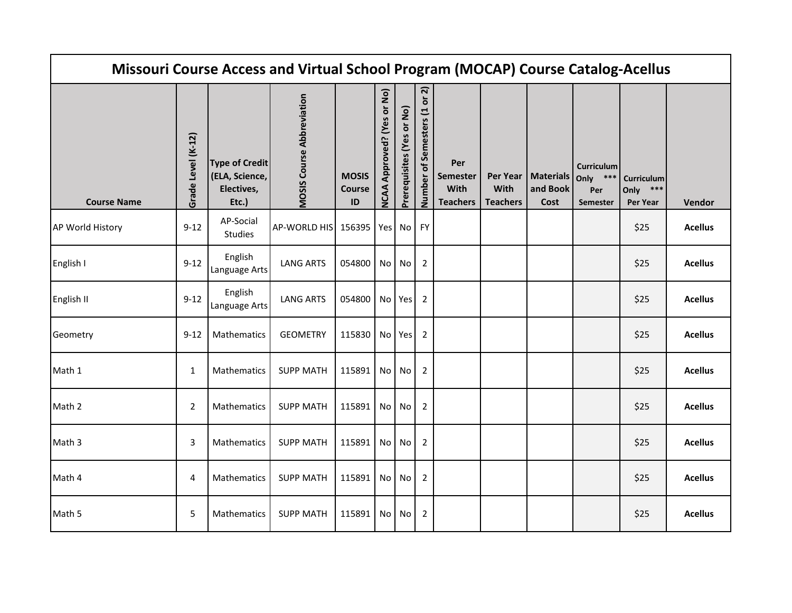| Missouri Course Access and Virtual School Program (MOCAP) Course Catalog-Acellus |                    |                                                                |                                  |                                     |                                |                           |                                  |                                            |                         |                                          |                                                       |                                       |                |
|----------------------------------------------------------------------------------|--------------------|----------------------------------------------------------------|----------------------------------|-------------------------------------|--------------------------------|---------------------------|----------------------------------|--------------------------------------------|-------------------------|------------------------------------------|-------------------------------------------------------|---------------------------------------|----------------|
| <b>Course Name</b>                                                               | Grade Level (K-12) | <b>Type of Credit</b><br>(ELA, Science,<br>Electives,<br>Etc.) | <b>MOSIS Course Abbreviation</b> | <b>MOSIS</b><br><b>Course</b><br>ID | Approved? (Yes or No)<br>NCAA. | Prerequisites (Yes or No) | ล<br>ŏ<br>Number of Semesters (1 | Per<br>Semester<br>With<br><b>Teachers</b> | With<br><b>Teachers</b> | Per Year   Materials<br>and Book<br>Cost | <b>Curriculum</b><br>Only<br>$***$<br>Per<br>Semester | Curriculum<br>Only<br>***<br>Per Year | Vendor         |
| AP World History                                                                 | $9 - 12$           | AP-Social<br><b>Studies</b>                                    | AP-WORLD HIS                     | 156395                              | Yes                            | No                        | <b>FY</b>                        |                                            |                         |                                          |                                                       | \$25                                  | <b>Acellus</b> |
| English I                                                                        | $9 - 12$           | English<br>Language Arts                                       | <b>LANG ARTS</b>                 | 054800                              | No I                           | No                        | 2                                |                                            |                         |                                          |                                                       | \$25                                  | <b>Acellus</b> |
| English II                                                                       | $9 - 12$           | English<br>Language Arts                                       | <b>LANG ARTS</b>                 | 054800                              |                                | No Yes                    | $\overline{2}$                   |                                            |                         |                                          |                                                       | \$25                                  | <b>Acellus</b> |
| Geometry                                                                         | $9 - 12$           | Mathematics                                                    | <b>GEOMETRY</b>                  | 115830                              |                                | No Yes                    | $\overline{2}$                   |                                            |                         |                                          |                                                       | \$25                                  | <b>Acellus</b> |
| Math 1                                                                           | 1                  | Mathematics                                                    | <b>SUPP MATH</b>                 | 115891                              | No <sub>1</sub>                | No                        | $\overline{2}$                   |                                            |                         |                                          |                                                       | \$25                                  | <b>Acellus</b> |
| Math 2                                                                           | $\overline{2}$     | Mathematics                                                    | <b>SUPP MATH</b>                 | 115891                              | No I                           | No                        | $\overline{2}$                   |                                            |                         |                                          |                                                       | \$25                                  | <b>Acellus</b> |
| Math 3                                                                           | 3                  | Mathematics                                                    | <b>SUPP MATH</b>                 | 115891                              | No <sub>1</sub>                | No                        | 2                                |                                            |                         |                                          |                                                       | \$25                                  | <b>Acellus</b> |
| Math 4                                                                           | 4                  | Mathematics                                                    | <b>SUPP MATH</b>                 | 115891                              | No                             | No                        | 2                                |                                            |                         |                                          |                                                       | \$25                                  | <b>Acellus</b> |
| Math 5                                                                           | 5                  | <b>Mathematics</b>                                             | <b>SUPP MATH</b>                 | 115891                              | No                             | No                        | 2                                |                                            |                         |                                          |                                                       | \$25                                  | <b>Acellus</b> |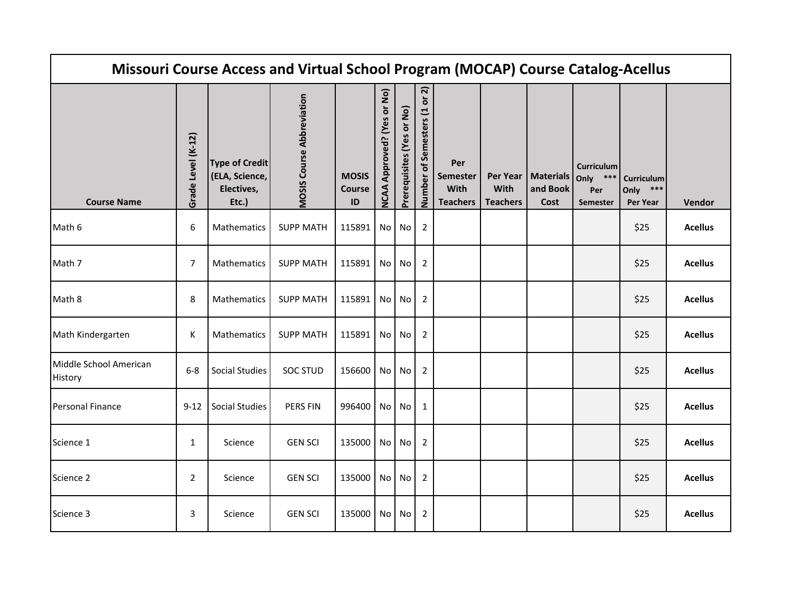|                                   |                    |                                                                | Missouri Course Access and Virtual School Program (MOCAP) Course Catalog-Acellus |                                         |                               |                           |                                    |                                                          |                         |                                          |                                                       |                                    |                |
|-----------------------------------|--------------------|----------------------------------------------------------------|----------------------------------------------------------------------------------|-----------------------------------------|-------------------------------|---------------------------|------------------------------------|----------------------------------------------------------|-------------------------|------------------------------------------|-------------------------------------------------------|------------------------------------|----------------|
| <b>Course Name</b>                | Grade Level (K-12) | <b>Type of Credit</b><br>(ELA, Science,<br>Electives,<br>Etc.) | <b>MOSIS Course Abbreviation</b>                                                 | <b>MOSIS</b><br>Course<br>$\mathsf{ID}$ | Approved? (Yes or No)<br>NCAA | Prerequisites (Yes or No) | or 2)<br>of Semesters (1<br>Number | Per<br><b>Semester</b><br><b>With</b><br><b>Teachers</b> | With<br><b>Teachers</b> | Per Year   Materials<br>and Book<br>Cost | <b>Curriculum</b><br>$***$<br>Only<br>Per<br>Semester | Curriculum<br>Only ***<br>Per Year | Vendor         |
| Math 6                            | 6                  | Mathematics                                                    | <b>SUPP MATH</b>                                                                 | 115891                                  | No <sub>1</sub>               | No <sub>1</sub>           | $\overline{2}$                     |                                                          |                         |                                          |                                                       | \$25                               | <b>Acellus</b> |
| Math 7                            | $\overline{7}$     | Mathematics                                                    | <b>SUPP MATH</b>                                                                 | 115891                                  | No I                          | No <sub>1</sub>           | $\overline{2}$                     |                                                          |                         |                                          |                                                       | \$25                               | <b>Acellus</b> |
| Math 8                            | 8                  | Mathematics                                                    | <b>SUPP MATH</b>                                                                 | 115891                                  | No I                          | No                        | $\overline{2}$                     |                                                          |                         |                                          |                                                       | \$25                               | <b>Acellus</b> |
| Math Kindergarten                 | К                  | Mathematics                                                    | <b>SUPP MATH</b>                                                                 | 115891                                  | No <sub>1</sub>               | No                        | $\overline{2}$                     |                                                          |                         |                                          |                                                       | \$25                               | <b>Acellus</b> |
| Middle School American<br>History | $6-8$              | <b>Social Studies</b>                                          | SOC STUD                                                                         | 156600                                  | No                            | No                        | $\overline{2}$                     |                                                          |                         |                                          |                                                       | \$25                               | <b>Acellus</b> |
| <b>Personal Finance</b>           | $9 - 12$           | <b>Social Studies</b>                                          | PERS FIN                                                                         | 996400                                  | No                            | No l                      | $\mathbf{1}$                       |                                                          |                         |                                          |                                                       | \$25                               | <b>Acellus</b> |
| Science 1                         | $\mathbf{1}$       | Science                                                        | <b>GEN SCI</b>                                                                   | 135000                                  | No <sub>1</sub>               | No <sub>1</sub>           | $\overline{2}$                     |                                                          |                         |                                          |                                                       | \$25                               | <b>Acellus</b> |
| Science 2                         | $\overline{2}$     | Science                                                        | <b>GEN SCI</b>                                                                   | 135000                                  | No <sub>1</sub>               | No <sub>1</sub>           | $\overline{2}$                     |                                                          |                         |                                          |                                                       | \$25                               | <b>Acellus</b> |
| Science 3                         | 3                  | Science                                                        | <b>GEN SCI</b>                                                                   | 135000                                  | No I                          | No                        | $\overline{2}$                     |                                                          |                         |                                          |                                                       | \$25                               | <b>Acellus</b> |